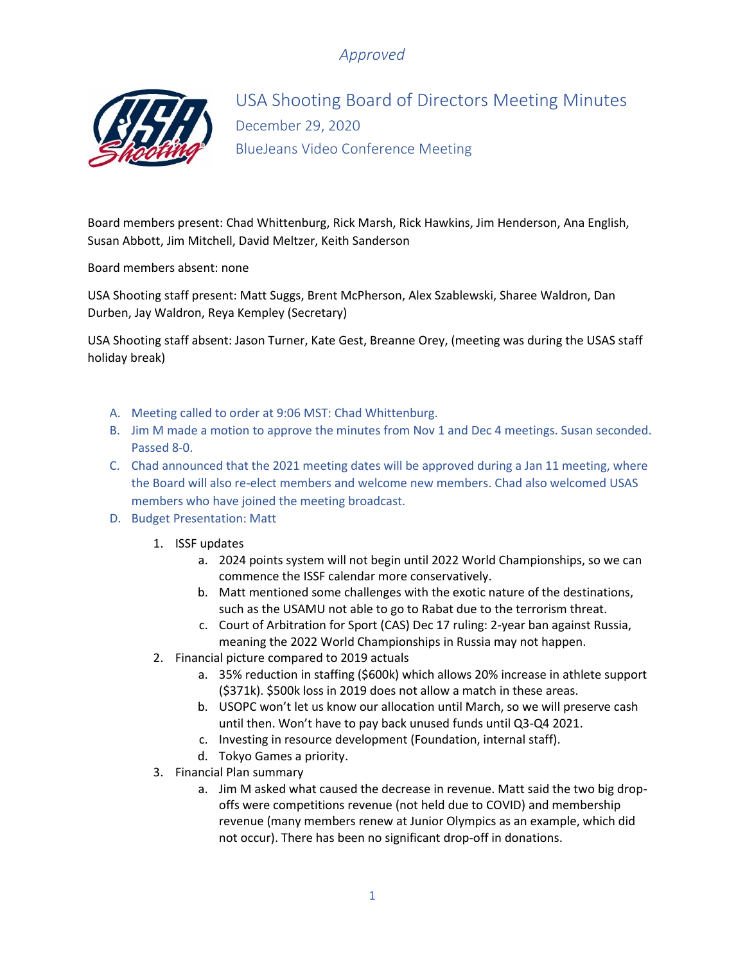

USA Shooting Board of Directors Meeting Minutes December 29, 2020 BlueJeans Video Conference Meeting

Board members present: Chad Whittenburg, Rick Marsh, Rick Hawkins, Jim Henderson, Ana English, Susan Abbott, Jim Mitchell, David Meltzer, Keith Sanderson

Board members absent: none

USA Shooting staff present: Matt Suggs, Brent McPherson, Alex Szablewski, Sharee Waldron, Dan Durben, Jay Waldron, Reya Kempley (Secretary)

USA Shooting staff absent: Jason Turner, Kate Gest, Breanne Orey, (meeting was during the USAS staff holiday break)

- A. Meeting called to order at 9:06 MST: Chad Whittenburg.
- B. Jim M made a motion to approve the minutes from Nov 1 and Dec 4 meetings. Susan seconded. Passed 8-0.
- C. Chad announced that the 2021 meeting dates will be approved during a Jan 11 meeting, where the Board will also re-elect members and welcome new members. Chad also welcomed USAS members who have joined the meeting broadcast.
- D. Budget Presentation: Matt
	- 1. ISSF updates
		- a. 2024 points system will not begin until 2022 World Championships, so we can commence the ISSF calendar more conservatively.
		- b. Matt mentioned some challenges with the exotic nature of the destinations, such as the USAMU not able to go to Rabat due to the terrorism threat.
		- c. Court of Arbitration for Sport (CAS) Dec 17 ruling: 2-year ban against Russia, meaning the 2022 World Championships in Russia may not happen.
	- 2. Financial picture compared to 2019 actuals
		- a. 35% reduction in staffing (\$600k) which allows 20% increase in athlete support (\$371k). \$500k loss in 2019 does not allow a match in these areas.
		- b. USOPC won't let us know our allocation until March, so we will preserve cash until then. Won't have to pay back unused funds until Q3-Q4 2021.
		- c. Investing in resource development (Foundation, internal staff).
		- d. Tokyo Games a priority.
	- 3. Financial Plan summary
		- a. Jim M asked what caused the decrease in revenue. Matt said the two big dropoffs were competitions revenue (not held due to COVID) and membership revenue (many members renew at Junior Olympics as an example, which did not occur). There has been no significant drop-off in donations.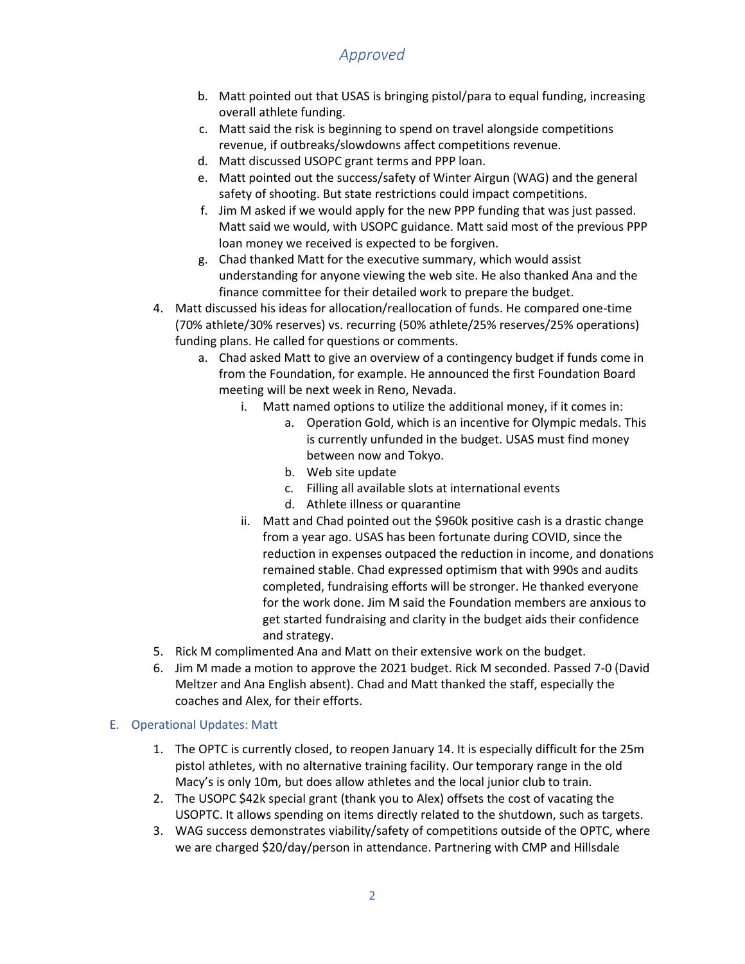- b. Matt pointed out that USAS is bringing pistol/para to equal funding, increasing overall athlete funding.
- c. Matt said the risk is beginning to spend on travel alongside competitions revenue, if outbreaks/slowdowns affect competitions revenue.
- d. Matt discussed USOPC grant terms and PPP loan.
- e. Matt pointed out the success/safety of Winter Airgun (WAG) and the general safety of shooting. But state restrictions could impact competitions.
- f. Jim M asked if we would apply for the new PPP funding that was just passed. Matt said we would, with USOPC guidance. Matt said most of the previous PPP loan money we received is expected to be forgiven.
- g. Chad thanked Matt for the executive summary, which would assist understanding for anyone viewing the web site. He also thanked Ana and the finance committee for their detailed work to prepare the budget.
- 4. Matt discussed his ideas for allocation/reallocation of funds. He compared one-time (70% athlete/30% reserves) vs. recurring (50% athlete/25% reserves/25% operations) funding plans. He called for questions or comments.
	- a. Chad asked Matt to give an overview of a contingency budget if funds come in from the Foundation, for example. He announced the first Foundation Board meeting will be next week in Reno, Nevada.
		- i. Matt named options to utilize the additional money, if it comes in:
			- a. Operation Gold, which is an incentive for Olympic medals. This is currently unfunded in the budget. USAS must find money between now and Tokyo.
			- b. Web site update
			- c. Filling all available slots at international events
			- d. Athlete illness or quarantine
		- ii. Matt and Chad pointed out the \$960k positive cash is a drastic change from a year ago. USAS has been fortunate during COVID, since the reduction in expenses outpaced the reduction in income, and donations remained stable. Chad expressed optimism that with 990s and audits completed, fundraising efforts will be stronger. He thanked everyone for the work done. Jim M said the Foundation members are anxious to get started fundraising and clarity in the budget aids their confidence and strategy.
- 5. Rick M complimented Ana and Matt on their extensive work on the budget.
- 6. Jim M made a motion to approve the 2021 budget. Rick M seconded. Passed 7-0 (David Meltzer and Ana English absent). Chad and Matt thanked the staff, especially the coaches and Alex, for their efforts.

#### E. Operational Updates: Matt

- 1. The OPTC is currently closed, to reopen January 14. It is especially difficult for the 25m pistol athletes, with no alternative training facility. Our temporary range in the old Macy's is only 10m, but does allow athletes and the local junior club to train.
- 2. The USOPC \$42k special grant (thank you to Alex) offsets the cost of vacating the USOPTC. It allows spending on items directly related to the shutdown, such as targets.
- 3. WAG success demonstrates viability/safety of competitions outside of the OPTC, where we are charged \$20/day/person in attendance. Partnering with CMP and Hillsdale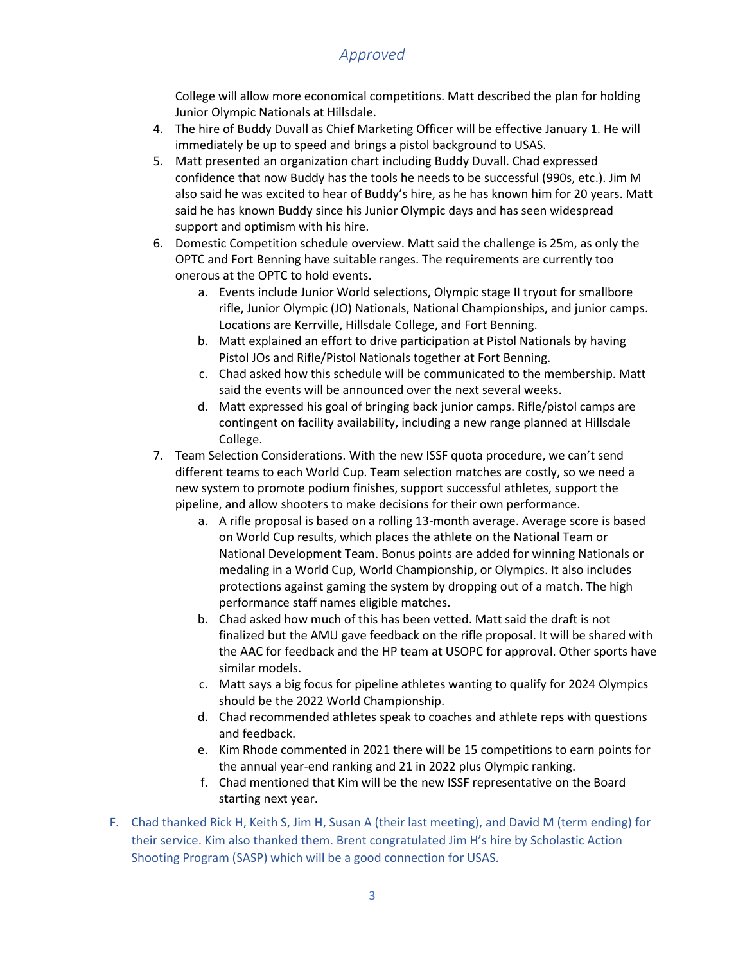College will allow more economical competitions. Matt described the plan for holding Junior Olympic Nationals at Hillsdale.

- 4. The hire of Buddy Duvall as Chief Marketing Officer will be effective January 1. He will immediately be up to speed and brings a pistol background to USAS.
- 5. Matt presented an organization chart including Buddy Duvall. Chad expressed confidence that now Buddy has the tools he needs to be successful (990s, etc.). Jim M also said he was excited to hear of Buddy's hire, as he has known him for 20 years. Matt said he has known Buddy since his Junior Olympic days and has seen widespread support and optimism with his hire.
- 6. Domestic Competition schedule overview. Matt said the challenge is 25m, as only the OPTC and Fort Benning have suitable ranges. The requirements are currently too onerous at the OPTC to hold events.
	- a. Events include Junior World selections, Olympic stage II tryout for smallbore rifle, Junior Olympic (JO) Nationals, National Championships, and junior camps. Locations are Kerrville, Hillsdale College, and Fort Benning.
	- b. Matt explained an effort to drive participation at Pistol Nationals by having Pistol JOs and Rifle/Pistol Nationals together at Fort Benning.
	- c. Chad asked how this schedule will be communicated to the membership. Matt said the events will be announced over the next several weeks.
	- d. Matt expressed his goal of bringing back junior camps. Rifle/pistol camps are contingent on facility availability, including a new range planned at Hillsdale College.
- 7. Team Selection Considerations. With the new ISSF quota procedure, we can't send different teams to each World Cup. Team selection matches are costly, so we need a new system to promote podium finishes, support successful athletes, support the pipeline, and allow shooters to make decisions for their own performance.
	- a. A rifle proposal is based on a rolling 13-month average. Average score is based on World Cup results, which places the athlete on the National Team or National Development Team. Bonus points are added for winning Nationals or medaling in a World Cup, World Championship, or Olympics. It also includes protections against gaming the system by dropping out of a match. The high performance staff names eligible matches.
	- b. Chad asked how much of this has been vetted. Matt said the draft is not finalized but the AMU gave feedback on the rifle proposal. It will be shared with the AAC for feedback and the HP team at USOPC for approval. Other sports have similar models.
	- c. Matt says a big focus for pipeline athletes wanting to qualify for 2024 Olympics should be the 2022 World Championship.
	- d. Chad recommended athletes speak to coaches and athlete reps with questions and feedback.
	- e. Kim Rhode commented in 2021 there will be 15 competitions to earn points for the annual year-end ranking and 21 in 2022 plus Olympic ranking.
	- f. Chad mentioned that Kim will be the new ISSF representative on the Board starting next year.
- F. Chad thanked Rick H, Keith S, Jim H, Susan A (their last meeting), and David M (term ending) for their service. Kim also thanked them. Brent congratulated Jim H's hire by Scholastic Action Shooting Program (SASP) which will be a good connection for USAS.